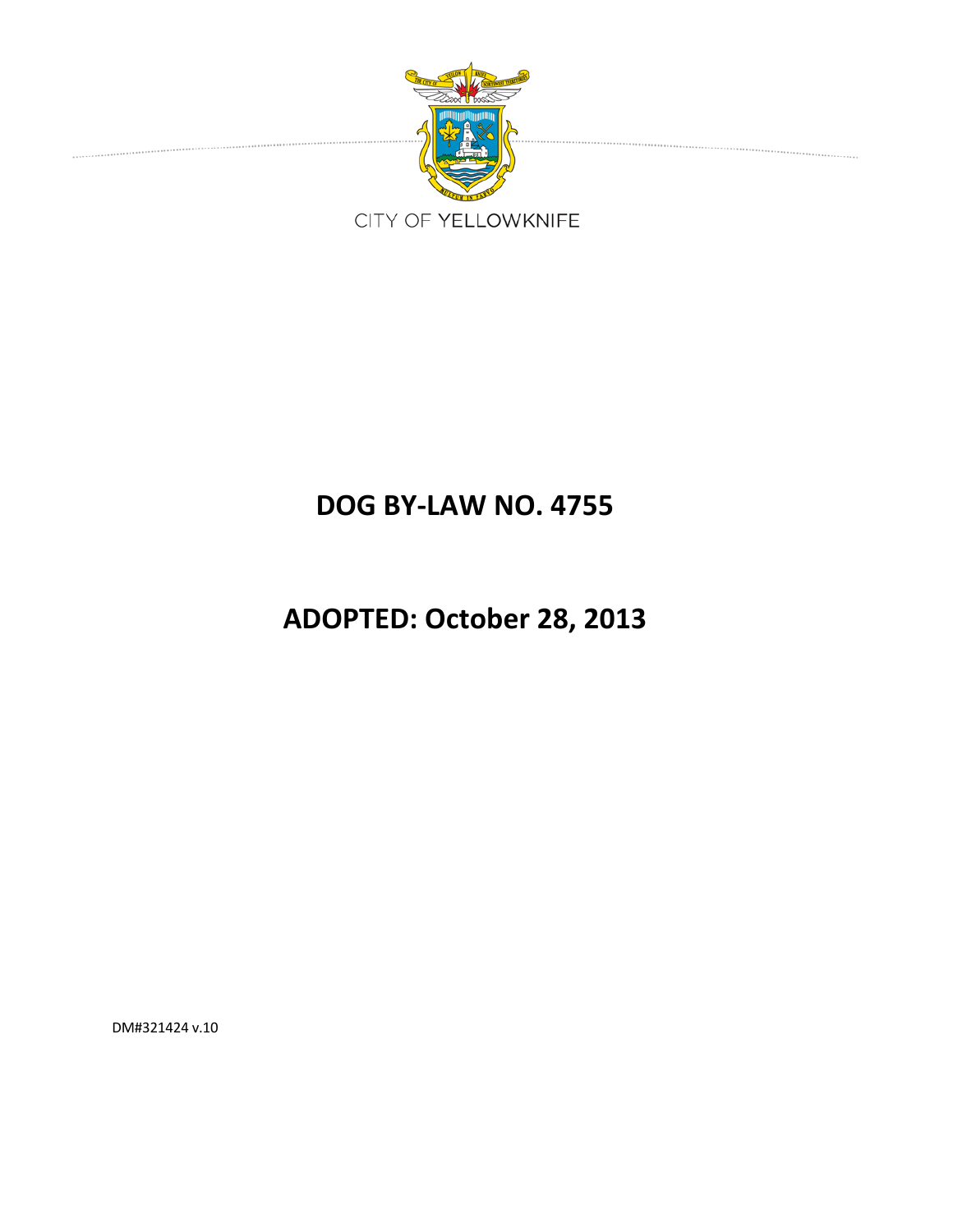

# **DOG BY‐LAW NO. 4755**

# **ADOPTED: October 28, 2013**

DM#321424 v.10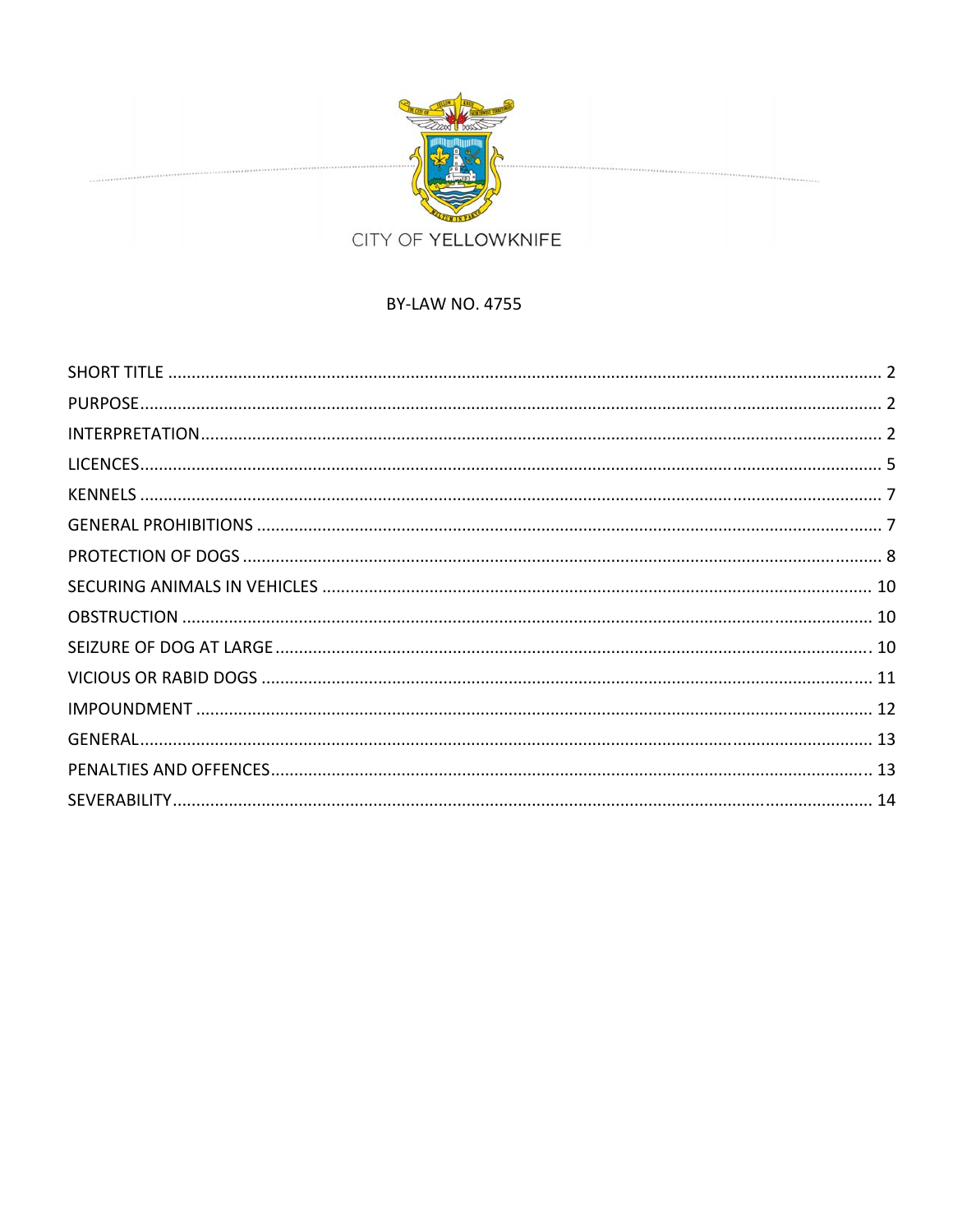

## **BY-LAW NO. 4755**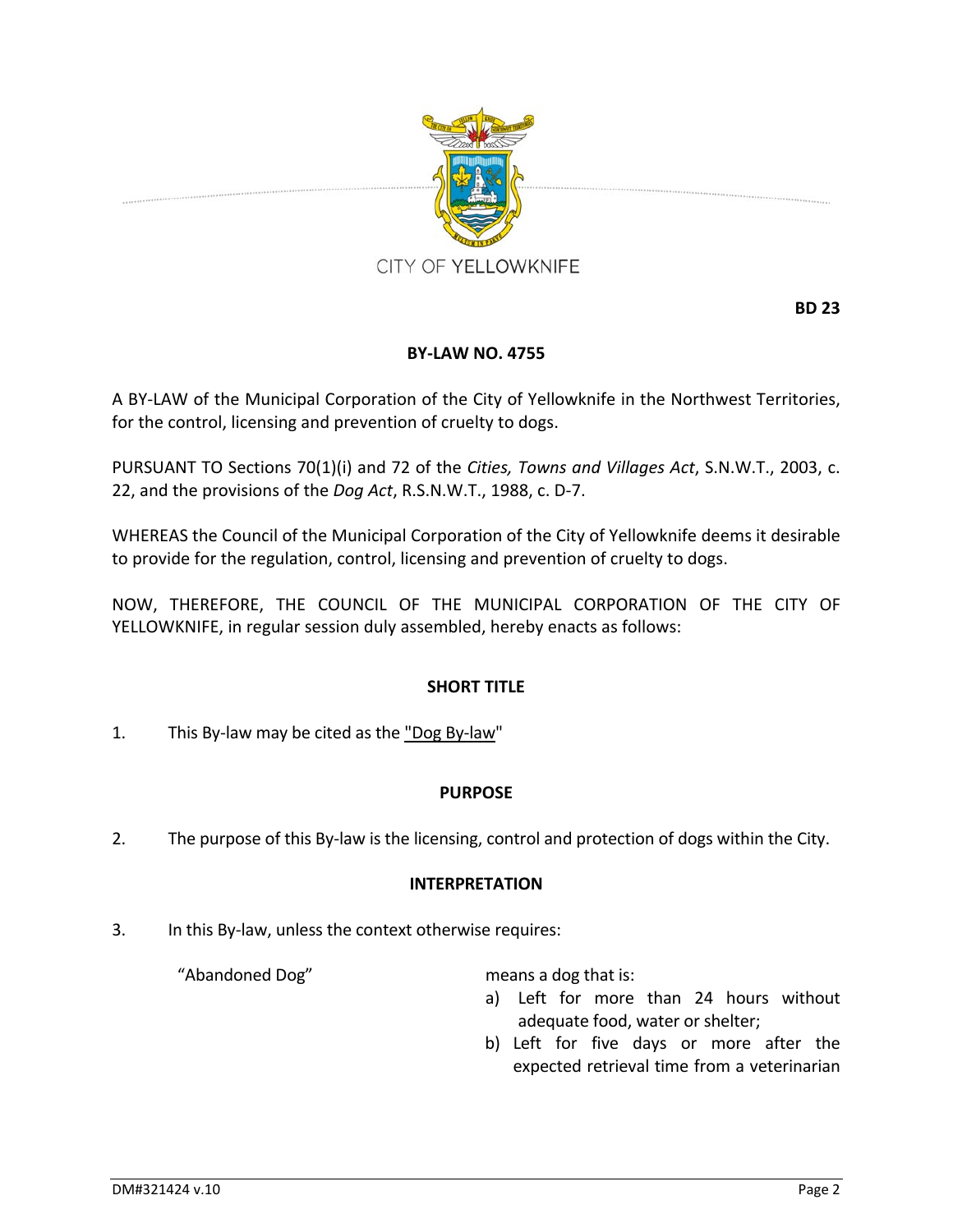

**BD 23**

## **BY‐LAW NO. 4755**

A BY‐LAW of the Municipal Corporation of the City of Yellowknife in the Northwest Territories, for the control, licensing and prevention of cruelty to dogs.

PURSUANT TO Sections 70(1)(i) and 72 of the *Cities, Towns and Villages Act*, S.N.W.T., 2003, c. 22, and the provisions of the *Dog Act*, R.S.N.W.T., 1988, c. D‐7.

WHEREAS the Council of the Municipal Corporation of the City of Yellowknife deems it desirable to provide for the regulation, control, licensing and prevention of cruelty to dogs.

NOW, THEREFORE, THE COUNCIL OF THE MUNICIPAL CORPORATION OF THE CITY OF YELLOWKNIFE, in regular session duly assembled, hereby enacts as follows:

#### **SHORT TITLE**

1. This By‐law may be cited as the "Dog By‐law"

#### **PURPOSE**

2. The purpose of this By-law is the licensing, control and protection of dogs within the City.

#### **INTERPRETATION**

3. In this By‐law, unless the context otherwise requires:

"Abandoned Dog" means a dog that is:

- a) Left for more than 24 hours without adequate food, water or shelter;
- b) Left for five days or more after the expected retrieval time from a veterinarian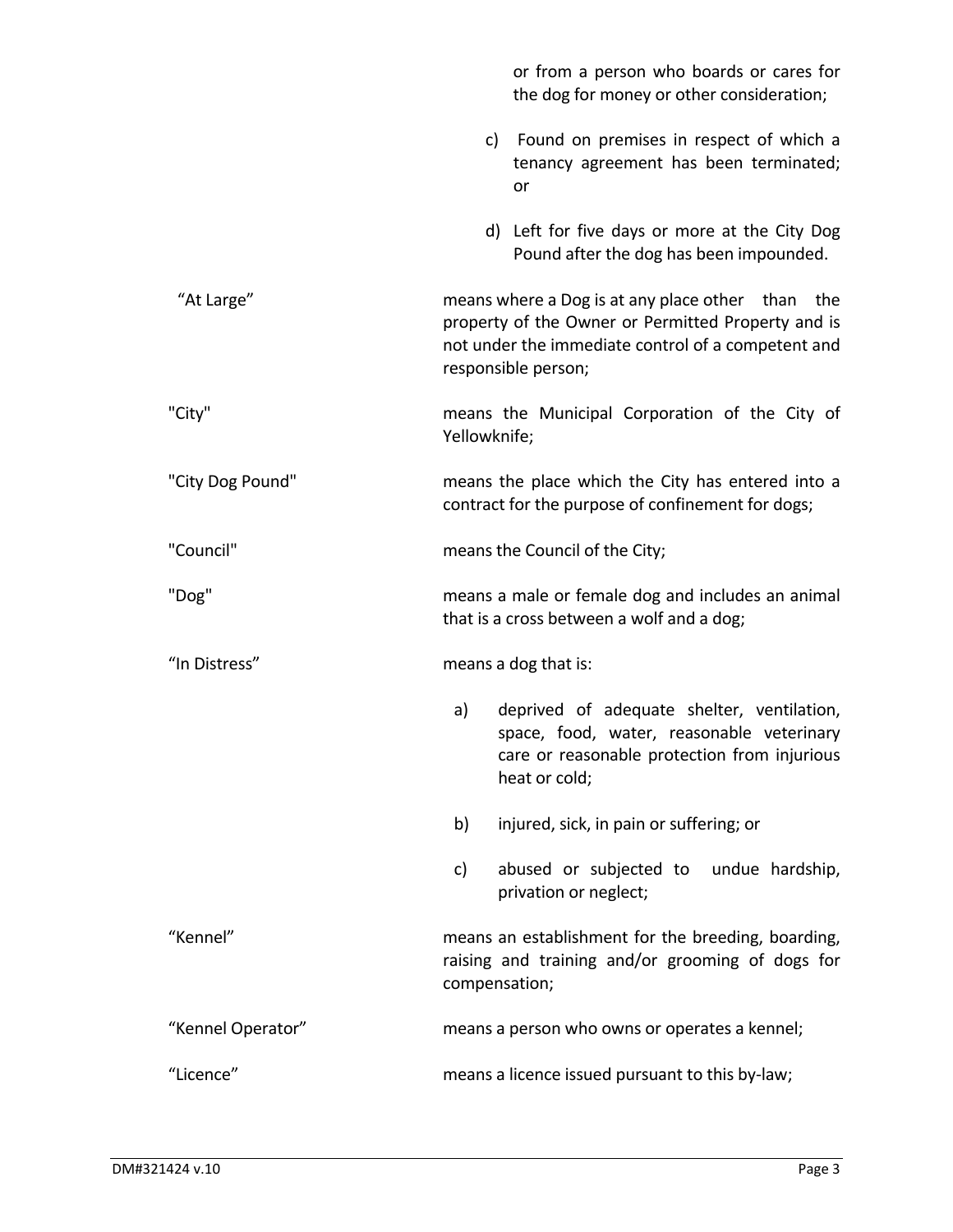|                   | or from a person who boards or cares for<br>the dog for money or other consideration;                                                                                               |  |  |
|-------------------|-------------------------------------------------------------------------------------------------------------------------------------------------------------------------------------|--|--|
|                   | c) Found on premises in respect of which a<br>tenancy agreement has been terminated;<br>or                                                                                          |  |  |
|                   | d) Left for five days or more at the City Dog<br>Pound after the dog has been impounded.                                                                                            |  |  |
| "At Large"        | means where a Dog is at any place other than the<br>property of the Owner or Permitted Property and is<br>not under the immediate control of a competent and<br>responsible person; |  |  |
| "City"            | means the Municipal Corporation of the City of<br>Yellowknife;                                                                                                                      |  |  |
| "City Dog Pound"  | means the place which the City has entered into a<br>contract for the purpose of confinement for dogs;                                                                              |  |  |
| "Council"         | means the Council of the City;                                                                                                                                                      |  |  |
|                   | means a male or female dog and includes an animal<br>that is a cross between a wolf and a dog;                                                                                      |  |  |
| "Dog"             |                                                                                                                                                                                     |  |  |
| "In Distress"     | means a dog that is:                                                                                                                                                                |  |  |
|                   | deprived of adequate shelter, ventilation,<br>a)<br>space, food, water, reasonable veterinary<br>care or reasonable protection from injurious<br>heat or cold;                      |  |  |
|                   | injured, sick, in pain or suffering; or<br>b)                                                                                                                                       |  |  |
|                   | abused or subjected to undue hardship,<br>c)<br>privation or neglect;                                                                                                               |  |  |
| "Kennel"          | means an establishment for the breeding, boarding,<br>raising and training and/or grooming of dogs for<br>compensation;                                                             |  |  |
| "Kennel Operator" | means a person who owns or operates a kennel;                                                                                                                                       |  |  |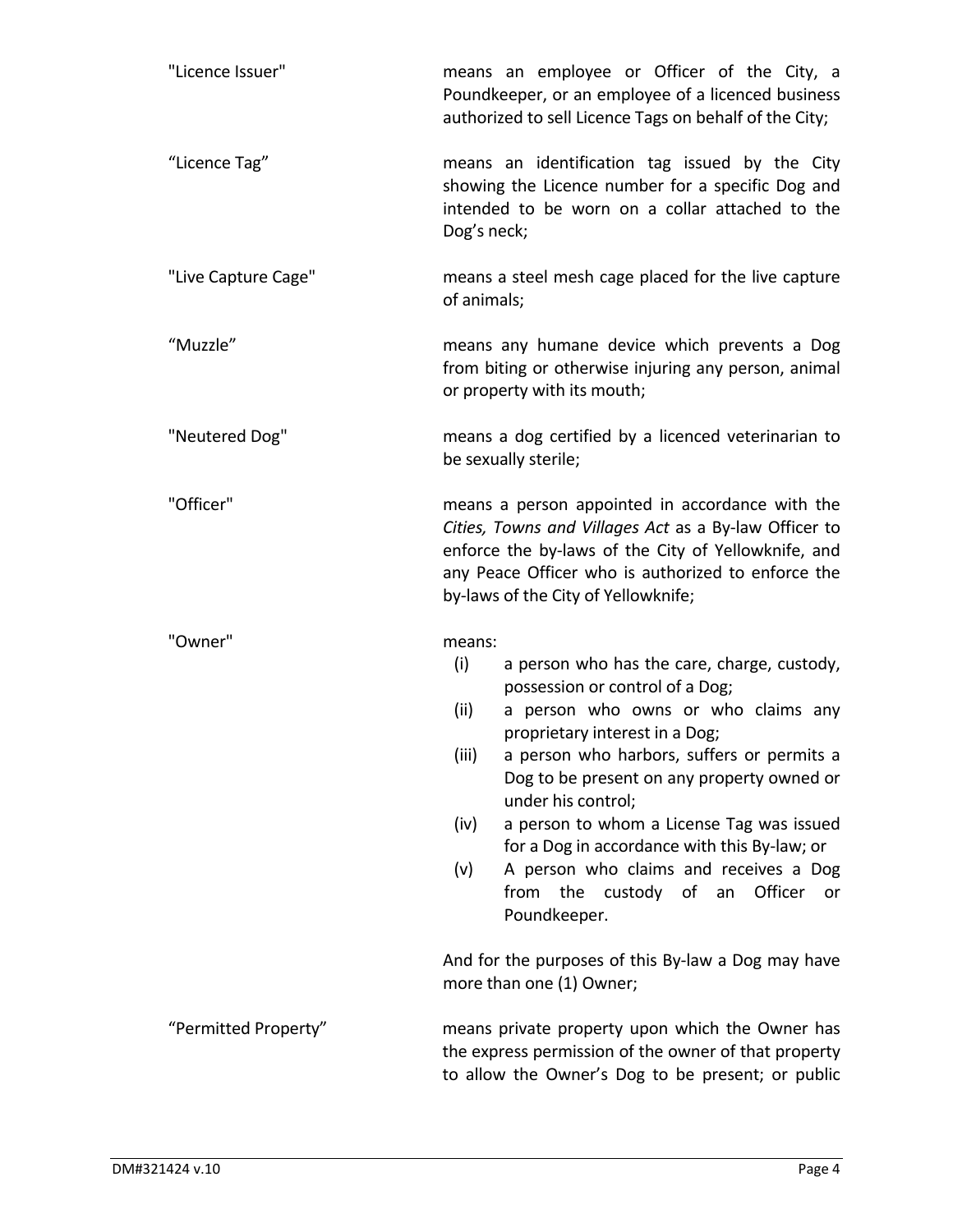| "Licence Issuer"     | means an employee or Officer of the City, a<br>Poundkeeper, or an employee of a licenced business<br>authorized to sell Licence Tags on behalf of the City;                                                                                                                                                                                                                                                                                                                                                                                                                                                                    |  |  |  |
|----------------------|--------------------------------------------------------------------------------------------------------------------------------------------------------------------------------------------------------------------------------------------------------------------------------------------------------------------------------------------------------------------------------------------------------------------------------------------------------------------------------------------------------------------------------------------------------------------------------------------------------------------------------|--|--|--|
| "Licence Tag"        | means an identification tag issued by the City<br>showing the Licence number for a specific Dog and<br>intended to be worn on a collar attached to the<br>Dog's neck;                                                                                                                                                                                                                                                                                                                                                                                                                                                          |  |  |  |
| "Live Capture Cage"  | means a steel mesh cage placed for the live capture<br>of animals;                                                                                                                                                                                                                                                                                                                                                                                                                                                                                                                                                             |  |  |  |
| "Muzzle"             | means any humane device which prevents a Dog<br>from biting or otherwise injuring any person, animal<br>or property with its mouth;                                                                                                                                                                                                                                                                                                                                                                                                                                                                                            |  |  |  |
| "Neutered Dog"       | means a dog certified by a licenced veterinarian to<br>be sexually sterile;                                                                                                                                                                                                                                                                                                                                                                                                                                                                                                                                                    |  |  |  |
| "Officer"            | means a person appointed in accordance with the<br>Cities, Towns and Villages Act as a By-law Officer to<br>enforce the by-laws of the City of Yellowknife, and<br>any Peace Officer who is authorized to enforce the<br>by-laws of the City of Yellowknife;                                                                                                                                                                                                                                                                                                                                                                   |  |  |  |
| "Owner"              | means:<br>(i)<br>a person who has the care, charge, custody,<br>possession or control of a Dog;<br>a person who owns or who claims any<br>(ii)<br>proprietary interest in a Dog;<br>a person who harbors, suffers or permits a<br>(iii)<br>Dog to be present on any property owned or<br>under his control;<br>a person to whom a License Tag was issued<br>(iv)<br>for a Dog in accordance with this By-law; or<br>A person who claims and receives a Dog<br>(v)<br>from<br>custody of<br>Officer<br>the<br>an<br><u>or</u><br>Poundkeeper.<br>And for the purposes of this By-law a Dog may have<br>more than one (1) Owner; |  |  |  |
| "Permitted Property" | means private property upon which the Owner has<br>the express permission of the owner of that property<br>to allow the Owner's Dog to be present; or public                                                                                                                                                                                                                                                                                                                                                                                                                                                                   |  |  |  |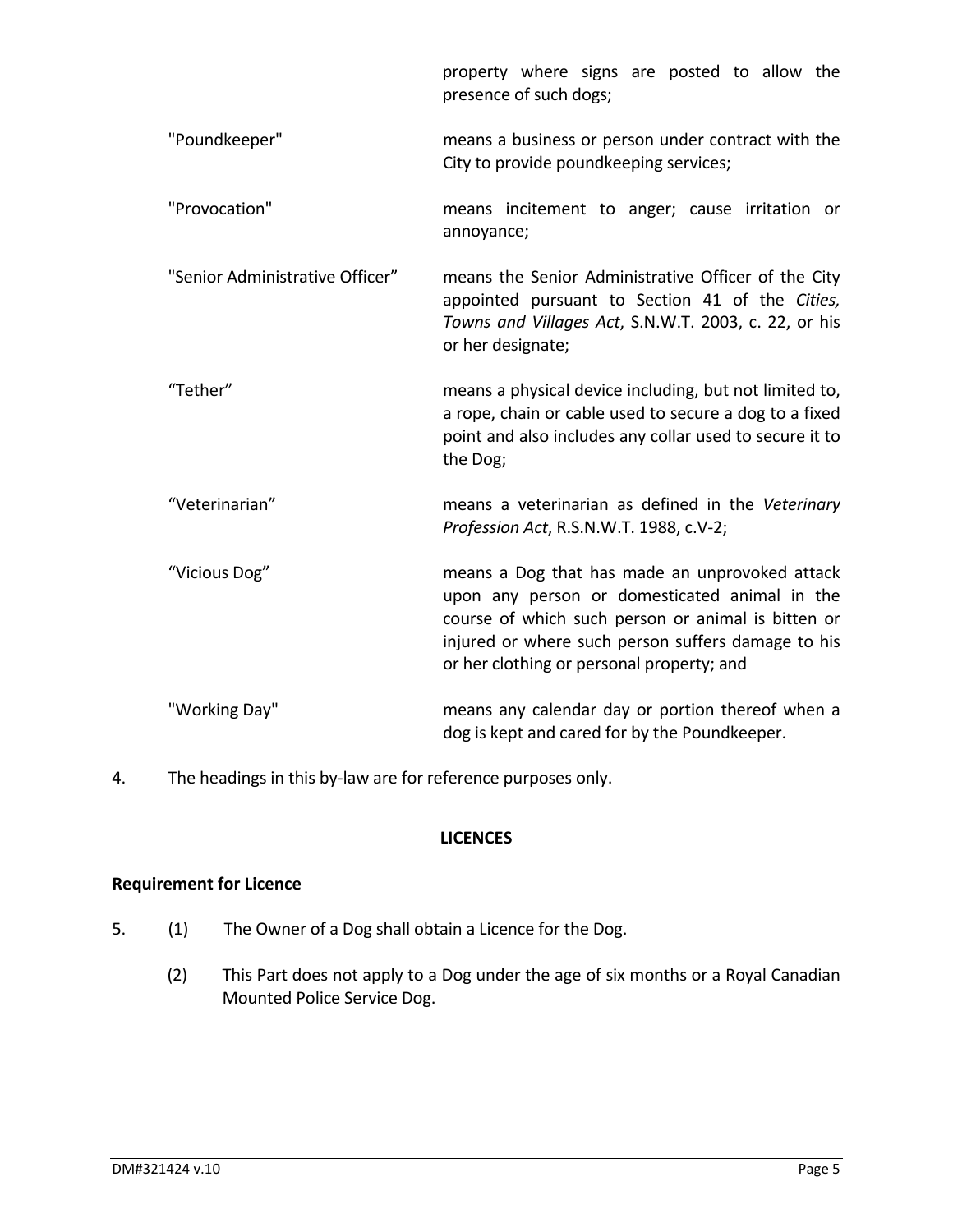|                                 | property where signs are posted to allow the<br>presence of such dogs;                                                                                                                                                                                   |  |  |  |
|---------------------------------|----------------------------------------------------------------------------------------------------------------------------------------------------------------------------------------------------------------------------------------------------------|--|--|--|
| "Poundkeeper"                   | means a business or person under contract with the<br>City to provide poundkeeping services;                                                                                                                                                             |  |  |  |
| "Provocation"                   | means incitement to anger; cause irritation or<br>annoyance;                                                                                                                                                                                             |  |  |  |
| "Senior Administrative Officer" | means the Senior Administrative Officer of the City<br>appointed pursuant to Section 41 of the Cities,<br>Towns and Villages Act, S.N.W.T. 2003, c. 22, or his<br>or her designate;                                                                      |  |  |  |
| "Tether"                        | means a physical device including, but not limited to,<br>a rope, chain or cable used to secure a dog to a fixed<br>point and also includes any collar used to secure it to<br>the Dog;                                                                  |  |  |  |
| "Veterinarian"                  | means a veterinarian as defined in the Veterinary<br>Profession Act, R.S.N.W.T. 1988, c.V-2;                                                                                                                                                             |  |  |  |
| "Vicious Dog"                   | means a Dog that has made an unprovoked attack<br>upon any person or domesticated animal in the<br>course of which such person or animal is bitten or<br>injured or where such person suffers damage to his<br>or her clothing or personal property; and |  |  |  |
| "Working Day"                   | means any calendar day or portion thereof when a<br>dog is kept and cared for by the Poundkeeper.                                                                                                                                                        |  |  |  |

4. The headings in this by-law are for reference purposes only.

#### **LICENCES**

## **Requirement for Licence**

- 5. (1) The Owner of a Dog shall obtain a Licence for the Dog.
	- (2) This Part does not apply to a Dog under the age of six months or a Royal Canadian Mounted Police Service Dog.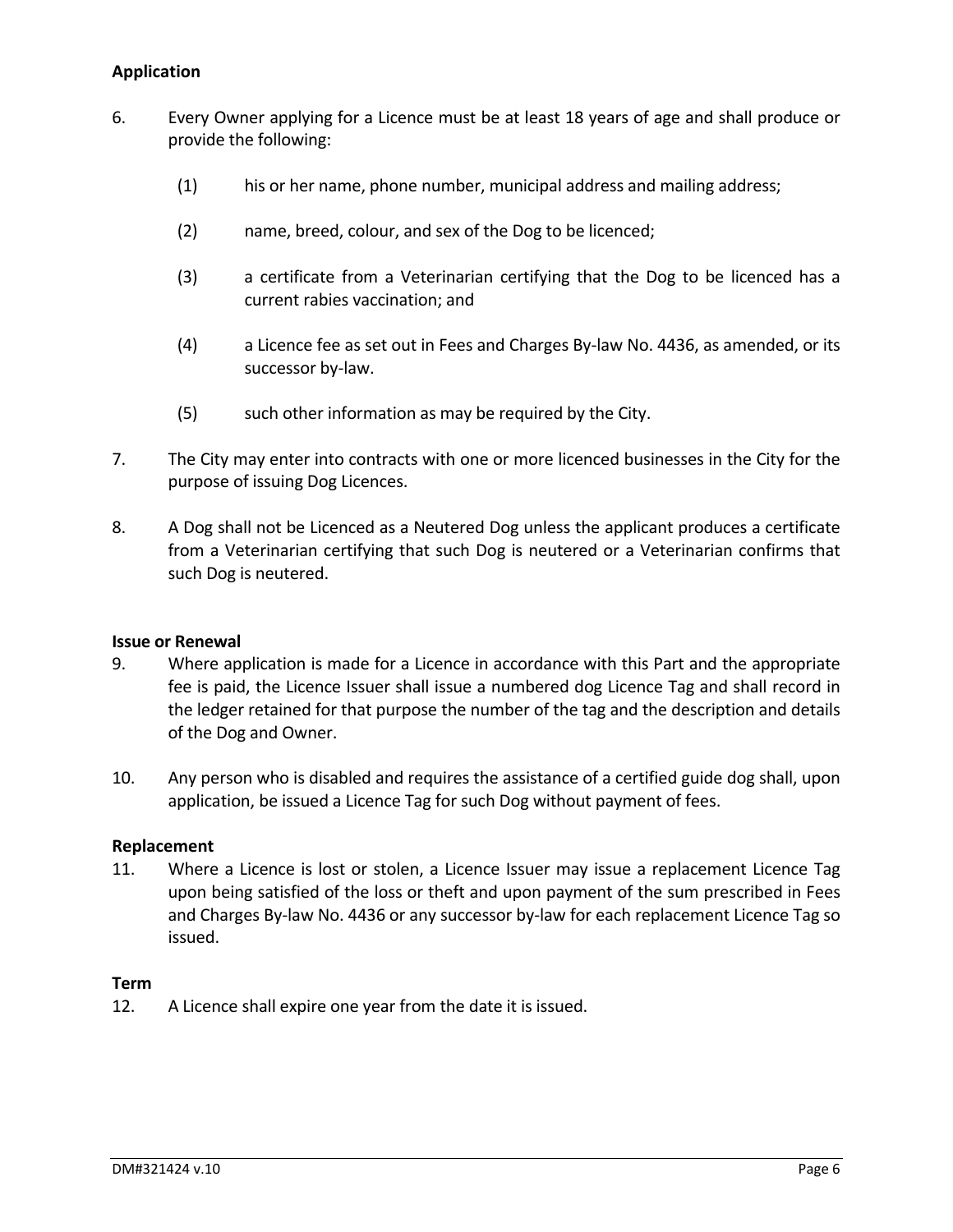## **Application**

- 6. Every Owner applying for a Licence must be at least 18 years of age and shall produce or provide the following:
	- (1) his or her name, phone number, municipal address and mailing address;
	- (2) name, breed, colour, and sex of the Dog to be licenced;
	- (3) a certificate from a Veterinarian certifying that the Dog to be licenced has a current rabies vaccination; and
	- (4) a Licence fee as set out in Fees and Charges By‐law No. 4436, as amended, or its successor by-law.
	- (5) such other information as may be required by the City.
- 7. The City may enter into contracts with one or more licenced businesses in the City for the purpose of issuing Dog Licences.
- 8. A Dog shall not be Licenced as a Neutered Dog unless the applicant produces a certificate from a Veterinarian certifying that such Dog is neutered or a Veterinarian confirms that such Dog is neutered.

#### **Issue or Renewal**

- 9. Where application is made for a Licence in accordance with this Part and the appropriate fee is paid, the Licence Issuer shall issue a numbered dog Licence Tag and shall record in the ledger retained for that purpose the number of the tag and the description and details of the Dog and Owner.
- 10. Any person who is disabled and requires the assistance of a certified guide dog shall, upon application, be issued a Licence Tag for such Dog without payment of fees.

#### **Replacement**

11. Where a Licence is lost or stolen, a Licence Issuer may issue a replacement Licence Tag upon being satisfied of the loss or theft and upon payment of the sum prescribed in Fees and Charges By-law No. 4436 or any successor by-law for each replacement Licence Tag so issued.

#### **Term**

12. A Licence shall expire one year from the date it is issued.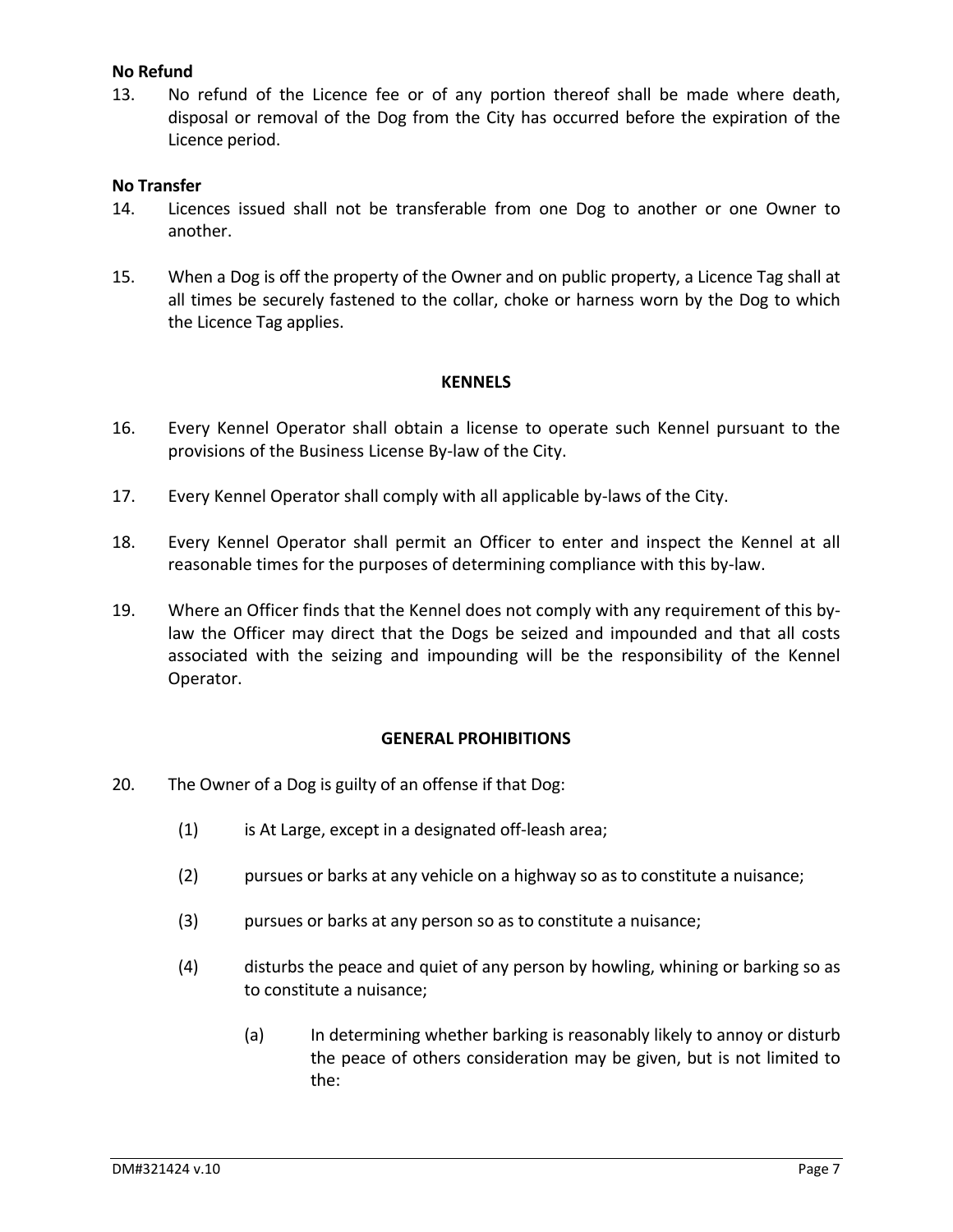#### **No Refund**

13. No refund of the Licence fee or of any portion thereof shall be made where death, disposal or removal of the Dog from the City has occurred before the expiration of the Licence period.

#### **No Transfer**

- 14. Licences issued shall not be transferable from one Dog to another or one Owner to another.
- 15. When a Dog is off the property of the Owner and on public property, a Licence Tag shall at all times be securely fastened to the collar, choke or harness worn by the Dog to which the Licence Tag applies.

#### **KENNELS**

- 16. Every Kennel Operator shall obtain a license to operate such Kennel pursuant to the provisions of the Business License By‐law of the City.
- 17. Every Kennel Operator shall comply with all applicable by‐laws of the City.
- 18. Every Kennel Operator shall permit an Officer to enter and inspect the Kennel at all reasonable times for the purposes of determining compliance with this by‐law.
- 19. Where an Officer finds that the Kennel does not comply with any requirement of this by‐ law the Officer may direct that the Dogs be seized and impounded and that all costs associated with the seizing and impounding will be the responsibility of the Kennel Operator.

#### **GENERAL PROHIBITIONS**

- 20. The Owner of a Dog is guilty of an offense if that Dog:
	- (1) is At Large, except in a designated off‐leash area;
	- (2) pursues or barks at any vehicle on a highway so as to constitute a nuisance;
	- (3) pursues or barks at any person so as to constitute a nuisance;
	- (4) disturbs the peace and quiet of any person by howling, whining or barking so as to constitute a nuisance;
		- (a) In determining whether barking is reasonably likely to annoy or disturb the peace of others consideration may be given, but is not limited to the: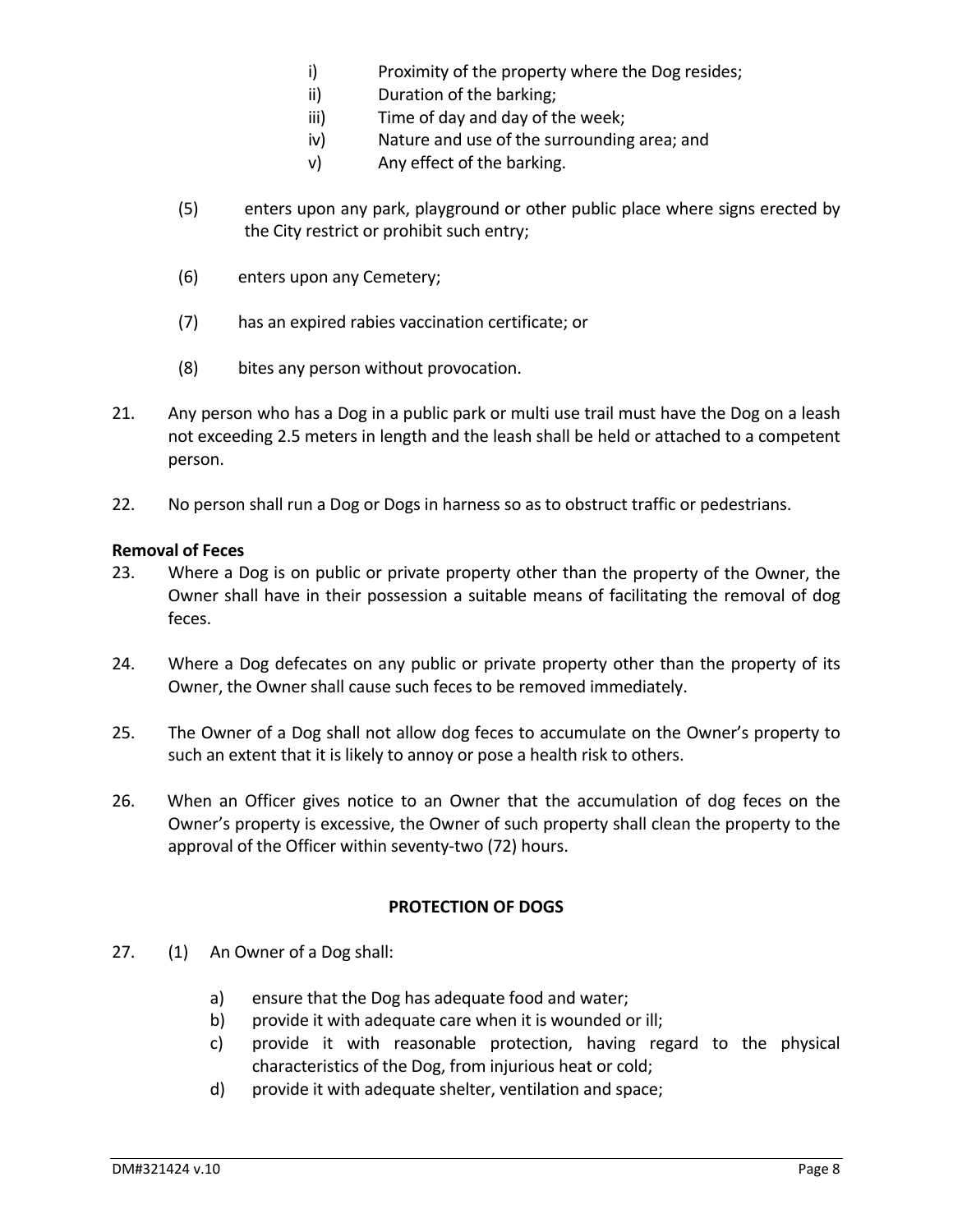- i) Proximity of the property where the Dog resides;
- ii) Duration of the barking;
- iii) Time of day and day of the week;
- iv) Nature and use of the surrounding area; and
- v) Any effect of the barking.
- (5) enters upon any park, playground or other public place where signs erected by the City restrict or prohibit such entry;
- (6) enters upon any Cemetery;
- (7) has an expired rabies vaccination certificate; or
- (8) bites any person without provocation.
- 21. Any person who has a Dog in a public park or multi use trail must have the Dog on a leash not exceeding 2.5 meters in length and the leash shall be held or attached to a competent person.
- 22. No person shall run a Dog or Dogs in harness so as to obstruct traffic or pedestrians.

#### **Removal of Feces**

- 23. Where a Dog is on public or private property other than the property of the Owner, the Owner shall have in their possession a suitable means of facilitating the removal of dog feces.
- 24. Where a Dog defecates on any public or private property other than the property of its Owner, the Owner shall cause such feces to be removed immediately.
- 25. The Owner of a Dog shall not allow dog feces to accumulate on the Owner's property to such an extent that it is likely to annoy or pose a health risk to others.
- 26. When an Officer gives notice to an Owner that the accumulation of dog feces on the Owner's property is excessive, the Owner of such property shall clean the property to the approval of the Officer within seventy-two (72) hours.

## **PROTECTION OF DOGS**

- 27. (1) An Owner of a Dog shall:
	- a) ensure that the Dog has adequate food and water;
	- b) provide it with adequate care when it is wounded or ill;
	- c) provide it with reasonable protection, having regard to the physical characteristics of the Dog, from injurious heat or cold;
	- d) provide it with adequate shelter, ventilation and space;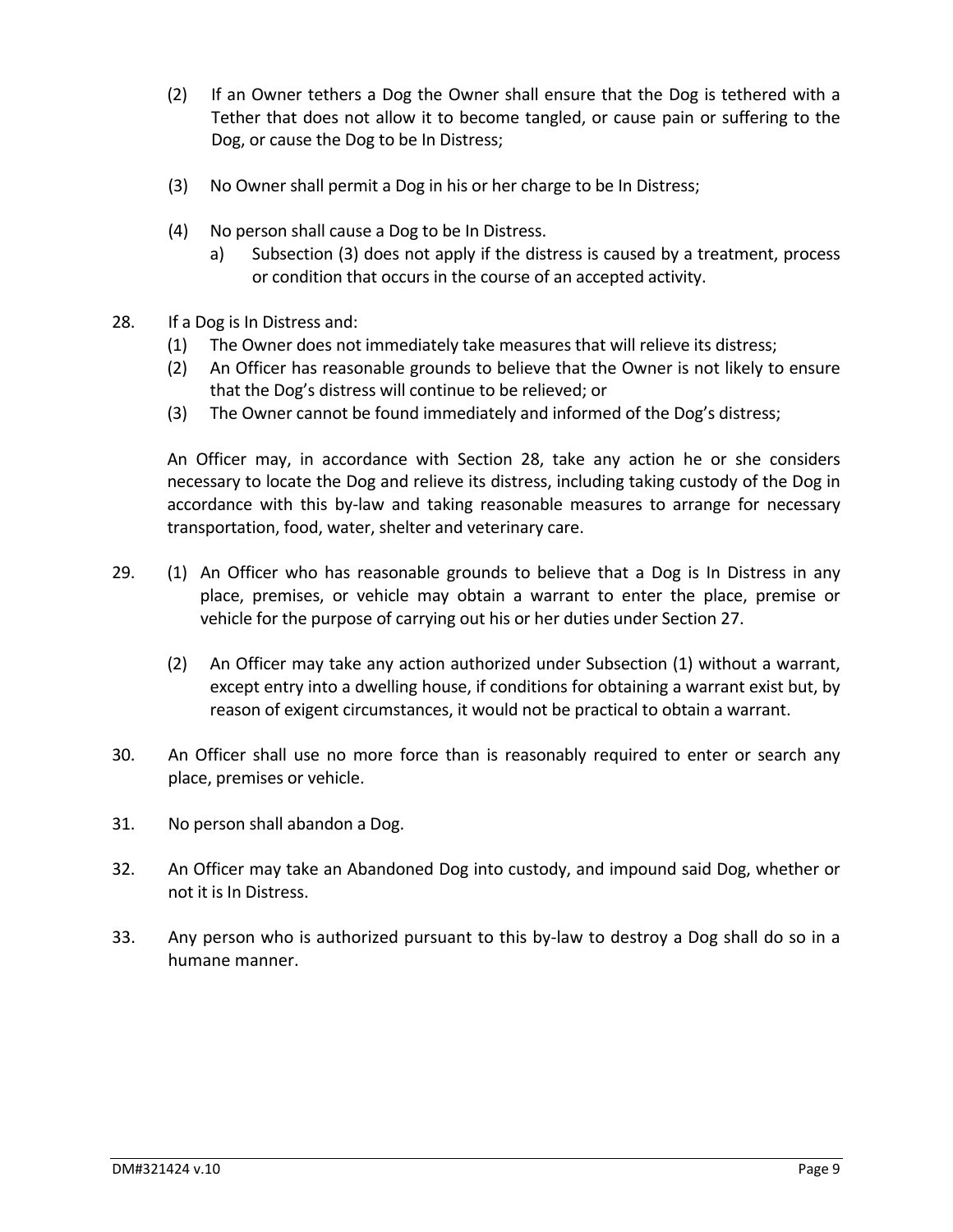- (2) If an Owner tethers a Dog the Owner shall ensure that the Dog is tethered with a Tether that does not allow it to become tangled, or cause pain or suffering to the Dog, or cause the Dog to be In Distress;
- (3) No Owner shall permit a Dog in his or her charge to be In Distress;
- (4) No person shall cause a Dog to be In Distress.
	- a) Subsection (3) does not apply if the distress is caused by a treatment, process or condition that occurs in the course of an accepted activity.
- 28. If a Dog is In Distress and:
	- (1) The Owner does not immediately take measures that will relieve its distress;
	- (2) An Officer has reasonable grounds to believe that the Owner is not likely to ensure that the Dog's distress will continue to be relieved; or
	- (3) The Owner cannot be found immediately and informed of the Dog's distress;

An Officer may, in accordance with Section 28, take any action he or she considers necessary to locate the Dog and relieve its distress, including taking custody of the Dog in accordance with this by-law and taking reasonable measures to arrange for necessary transportation, food, water, shelter and veterinary care.

- 29. (1) An Officer who has reasonable grounds to believe that a Dog is In Distress in any place, premises, or vehicle may obtain a warrant to enter the place, premise or vehicle for the purpose of carrying out his or her duties under Section 27.
	- (2) An Officer may take any action authorized under Subsection (1) without a warrant, except entry into a dwelling house, if conditions for obtaining a warrant exist but, by reason of exigent circumstances, it would not be practical to obtain a warrant.
- 30. An Officer shall use no more force than is reasonably required to enter or search any place, premises or vehicle.
- 31. No person shall abandon a Dog.
- 32. An Officer may take an Abandoned Dog into custody, and impound said Dog, whether or not it is In Distress.
- 33. Any person who is authorized pursuant to this by-law to destroy a Dog shall do so in a humane manner.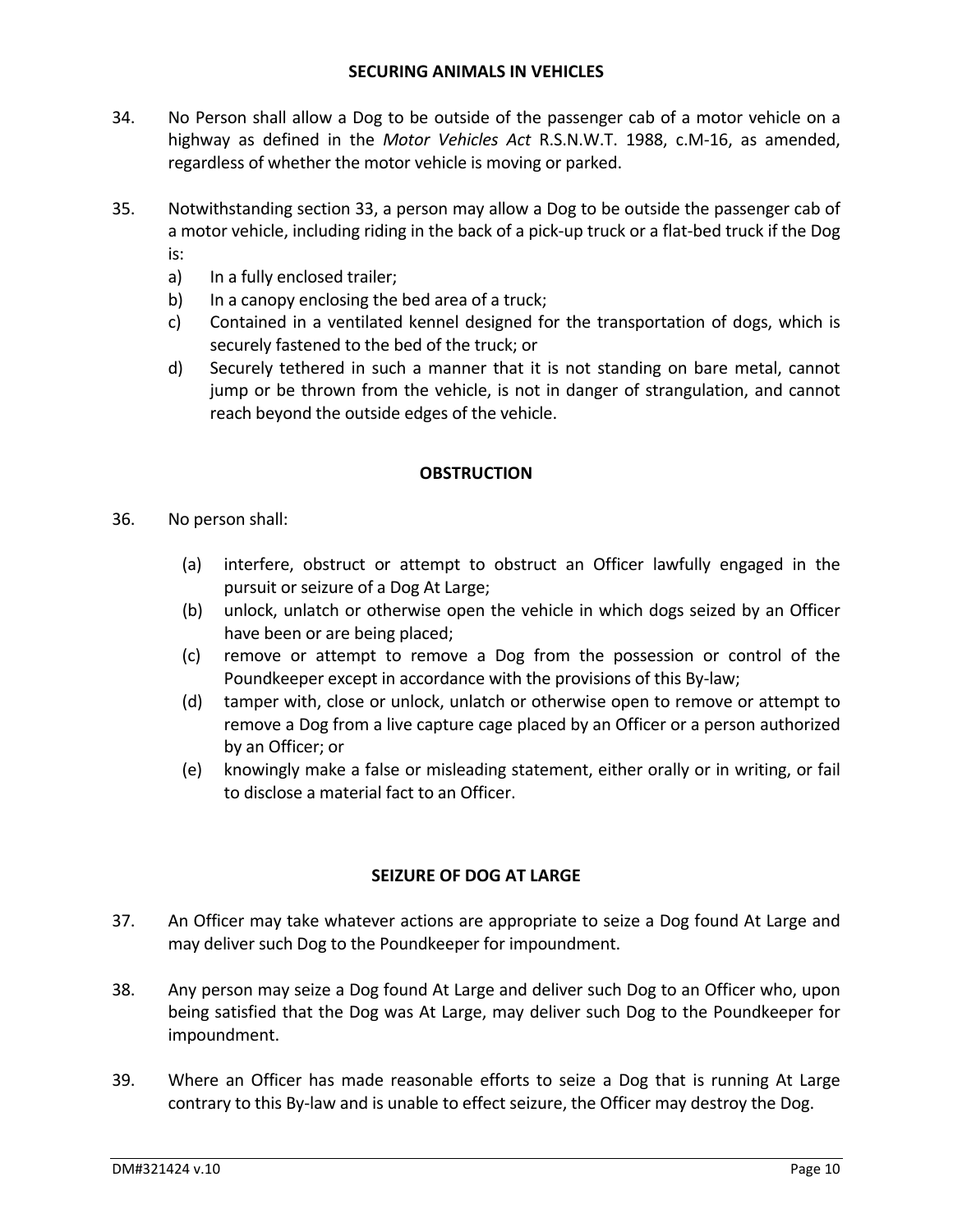- 34. No Person shall allow a Dog to be outside of the passenger cab of a motor vehicle on a highway as defined in the *Motor Vehicles Act* R.S.N.W.T. 1988, c.M‐16, as amended, regardless of whether the motor vehicle is moving or parked.
- 35. Notwithstanding section 33, a person may allow a Dog to be outside the passenger cab of a motor vehicle, including riding in the back of a pick‐up truck or a flat‐bed truck if the Dog is:
	- a) In a fully enclosed trailer;
	- b) In a canopy enclosing the bed area of a truck;
	- c) Contained in a ventilated kennel designed for the transportation of dogs, which is securely fastened to the bed of the truck; or
	- d) Securely tethered in such a manner that it is not standing on bare metal, cannot jump or be thrown from the vehicle, is not in danger of strangulation, and cannot reach beyond the outside edges of the vehicle.

## **OBSTRUCTION**

- 36. No person shall:
	- (a) interfere, obstruct or attempt to obstruct an Officer lawfully engaged in the pursuit or seizure of a Dog At Large;
	- (b) unlock, unlatch or otherwise open the vehicle in which dogs seized by an Officer have been or are being placed;
	- (c) remove or attempt to remove a Dog from the possession or control of the Poundkeeper except in accordance with the provisions of this By‐law;
	- (d) tamper with, close or unlock, unlatch or otherwise open to remove or attempt to remove a Dog from a live capture cage placed by an Officer or a person authorized by an Officer; or
	- (e) knowingly make a false or misleading statement, either orally or in writing, or fail to disclose a material fact to an Officer.

## **SEIZURE OF DOG AT LARGE**

- 37. An Officer may take whatever actions are appropriate to seize a Dog found At Large and may deliver such Dog to the Poundkeeper for impoundment.
- 38. Any person may seize a Dog found At Large and deliver such Dog to an Officer who, upon being satisfied that the Dog was At Large, may deliver such Dog to the Poundkeeper for impoundment.
- 39. Where an Officer has made reasonable efforts to seize a Dog that is running At Large contrary to this By-law and is unable to effect seizure, the Officer may destroy the Dog.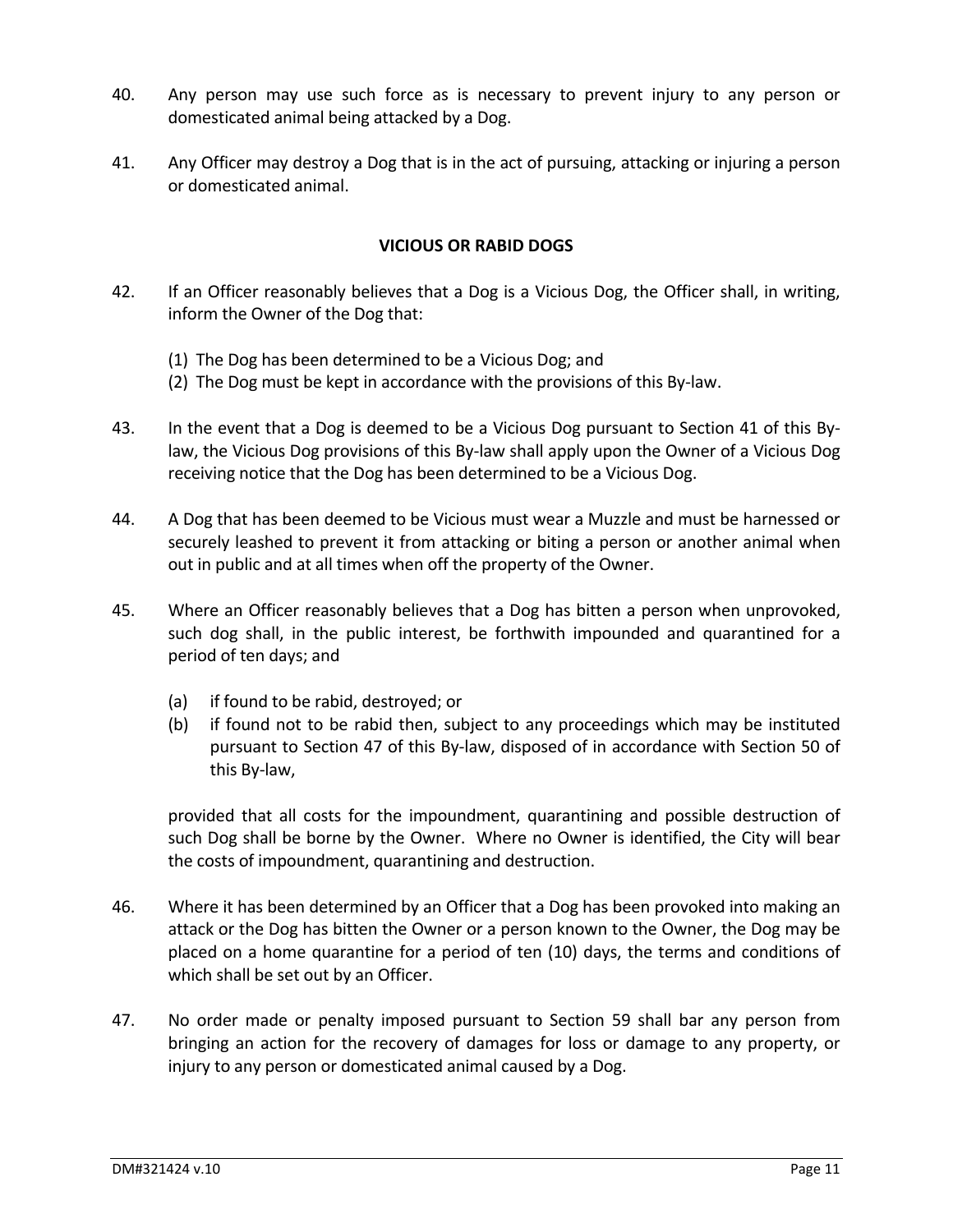- 40. Any person may use such force as is necessary to prevent injury to any person or domesticated animal being attacked by a Dog.
- 41. Any Officer may destroy a Dog that is in the act of pursuing, attacking or injuring a person or domesticated animal.

#### **VICIOUS OR RABID DOGS**

- 42. If an Officer reasonably believes that a Dog is a Vicious Dog, the Officer shall, in writing, inform the Owner of the Dog that:
	- (1) The Dog has been determined to be a Vicious Dog; and
	- (2) The Dog must be kept in accordance with the provisions of this By‐law.
- 43. In the event that a Dog is deemed to be a Vicious Dog pursuant to Section 41 of this Bylaw, the Vicious Dog provisions of this By‐law shall apply upon the Owner of a Vicious Dog receiving notice that the Dog has been determined to be a Vicious Dog.
- 44. A Dog that has been deemed to be Vicious must wear a Muzzle and must be harnessed or securely leashed to prevent it from attacking or biting a person or another animal when out in public and at all times when off the property of the Owner.
- 45. Where an Officer reasonably believes that a Dog has bitten a person when unprovoked, such dog shall, in the public interest, be forthwith impounded and quarantined for a period of ten days; and
	- (a) if found to be rabid, destroyed; or
	- (b) if found not to be rabid then, subject to any proceedings which may be instituted pursuant to Section 47 of this By‐law, disposed of in accordance with Section 50 of this By‐law,

provided that all costs for the impoundment, quarantining and possible destruction of such Dog shall be borne by the Owner. Where no Owner is identified, the City will bear the costs of impoundment, quarantining and destruction.

- 46. Where it has been determined by an Officer that a Dog has been provoked into making an attack or the Dog has bitten the Owner or a person known to the Owner, the Dog may be placed on a home quarantine for a period of ten (10) days, the terms and conditions of which shall be set out by an Officer.
- 47. No order made or penalty imposed pursuant to Section 59 shall bar any person from bringing an action for the recovery of damages for loss or damage to any property, or injury to any person or domesticated animal caused by a Dog.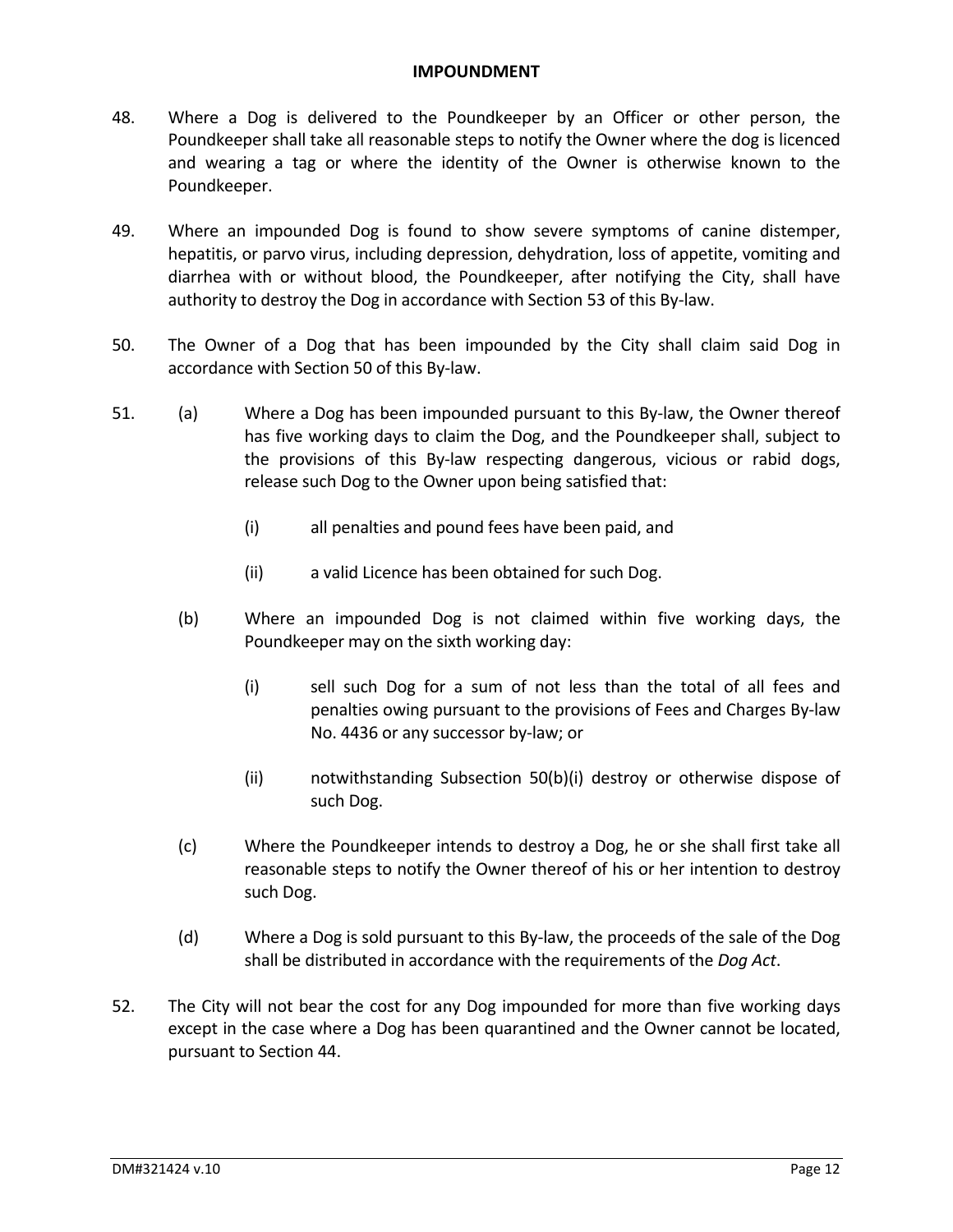#### **IMPOUNDMENT**

- 48. Where a Dog is delivered to the Poundkeeper by an Officer or other person, the Poundkeeper shall take all reasonable steps to notify the Owner where the dog is licenced and wearing a tag or where the identity of the Owner is otherwise known to the Poundkeeper.
- 49. Where an impounded Dog is found to show severe symptoms of canine distemper, hepatitis, or parvo virus, including depression, dehydration, loss of appetite, vomiting and diarrhea with or without blood, the Poundkeeper, after notifying the City, shall have authority to destroy the Dog in accordance with Section 53 of this By‐law.
- 50. The Owner of a Dog that has been impounded by the City shall claim said Dog in accordance with Section 50 of this By‐law.
- 51. (a) Where a Dog has been impounded pursuant to this By-law, the Owner thereof has five working days to claim the Dog, and the Poundkeeper shall, subject to the provisions of this By‐law respecting dangerous, vicious or rabid dogs, release such Dog to the Owner upon being satisfied that:
	- (i) all penalties and pound fees have been paid, and
	- (ii) a valid Licence has been obtained for such Dog.
	- (b) Where an impounded Dog is not claimed within five working days, the Poundkeeper may on the sixth working day:
		- (i) sell such Dog for a sum of not less than the total of all fees and penalties owing pursuant to the provisions of Fees and Charges By‐law No. 4436 or any successor by‐law; or
		- (ii) notwithstanding Subsection 50(b)(i) destroy or otherwise dispose of such Dog.
	- (c) Where the Poundkeeper intends to destroy a Dog, he or she shall first take all reasonable steps to notify the Owner thereof of his or her intention to destroy such Dog.
	- (d) Where a Dog is sold pursuant to this By‐law, the proceeds of the sale of the Dog shall be distributed in accordance with the requirements of the *Dog Act*.
- 52. The City will not bear the cost for any Dog impounded for more than five working days except in the case where a Dog has been quarantined and the Owner cannot be located, pursuant to Section 44.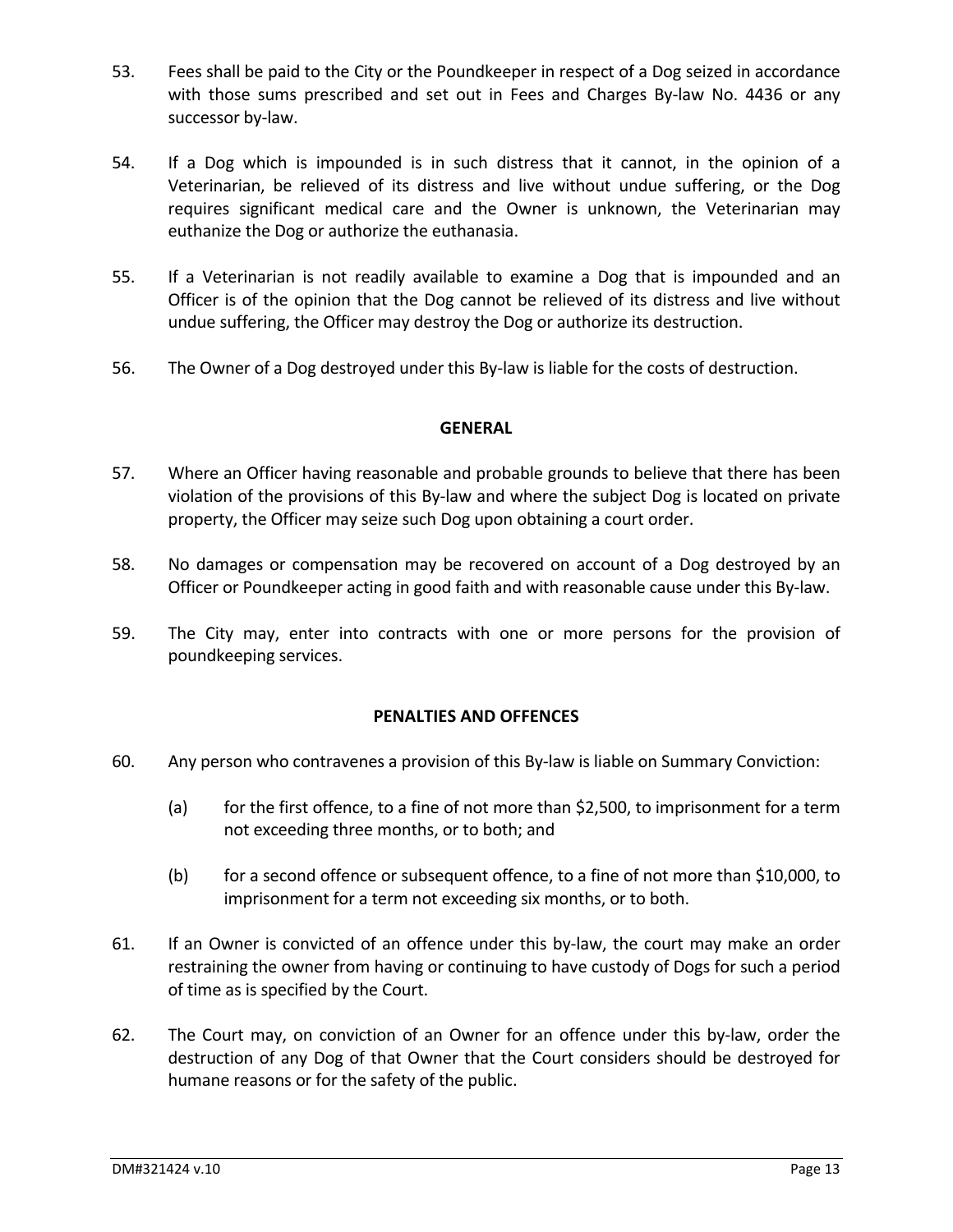- 53. Fees shall be paid to the City or the Poundkeeper in respect of a Dog seized in accordance with those sums prescribed and set out in Fees and Charges By-law No. 4436 or any successor by-law.
- 54. If a Dog which is impounded is in such distress that it cannot, in the opinion of a Veterinarian, be relieved of its distress and live without undue suffering, or the Dog requires significant medical care and the Owner is unknown, the Veterinarian may euthanize the Dog or authorize the euthanasia.
- 55. If a Veterinarian is not readily available to examine a Dog that is impounded and an Officer is of the opinion that the Dog cannot be relieved of its distress and live without undue suffering, the Officer may destroy the Dog or authorize its destruction.
- 56. The Owner of a Dog destroyed under this By-law is liable for the costs of destruction.

## **GENERAL**

- 57. Where an Officer having reasonable and probable grounds to believe that there has been violation of the provisions of this By‐law and where the subject Dog is located on private property, the Officer may seize such Dog upon obtaining a court order.
- 58. No damages or compensation may be recovered on account of a Dog destroyed by an Officer or Poundkeeper acting in good faith and with reasonable cause under this By‐law.
- 59. The City may, enter into contracts with one or more persons for the provision of poundkeeping services.

#### **PENALTIES AND OFFENCES**

- 60. Any person who contravenes a provision of this By‐law is liable on Summary Conviction:
	- (a) for the first offence, to a fine of not more than \$2,500, to imprisonment for a term not exceeding three months, or to both; and
	- (b) for a second offence or subsequent offence, to a fine of not more than \$10,000, to imprisonment for a term not exceeding six months, or to both.
- 61. If an Owner is convicted of an offence under this by‐law, the court may make an order restraining the owner from having or continuing to have custody of Dogs for such a period of time as is specified by the Court.
- 62. The Court may, on conviction of an Owner for an offence under this by‐law, order the destruction of any Dog of that Owner that the Court considers should be destroyed for humane reasons or for the safety of the public.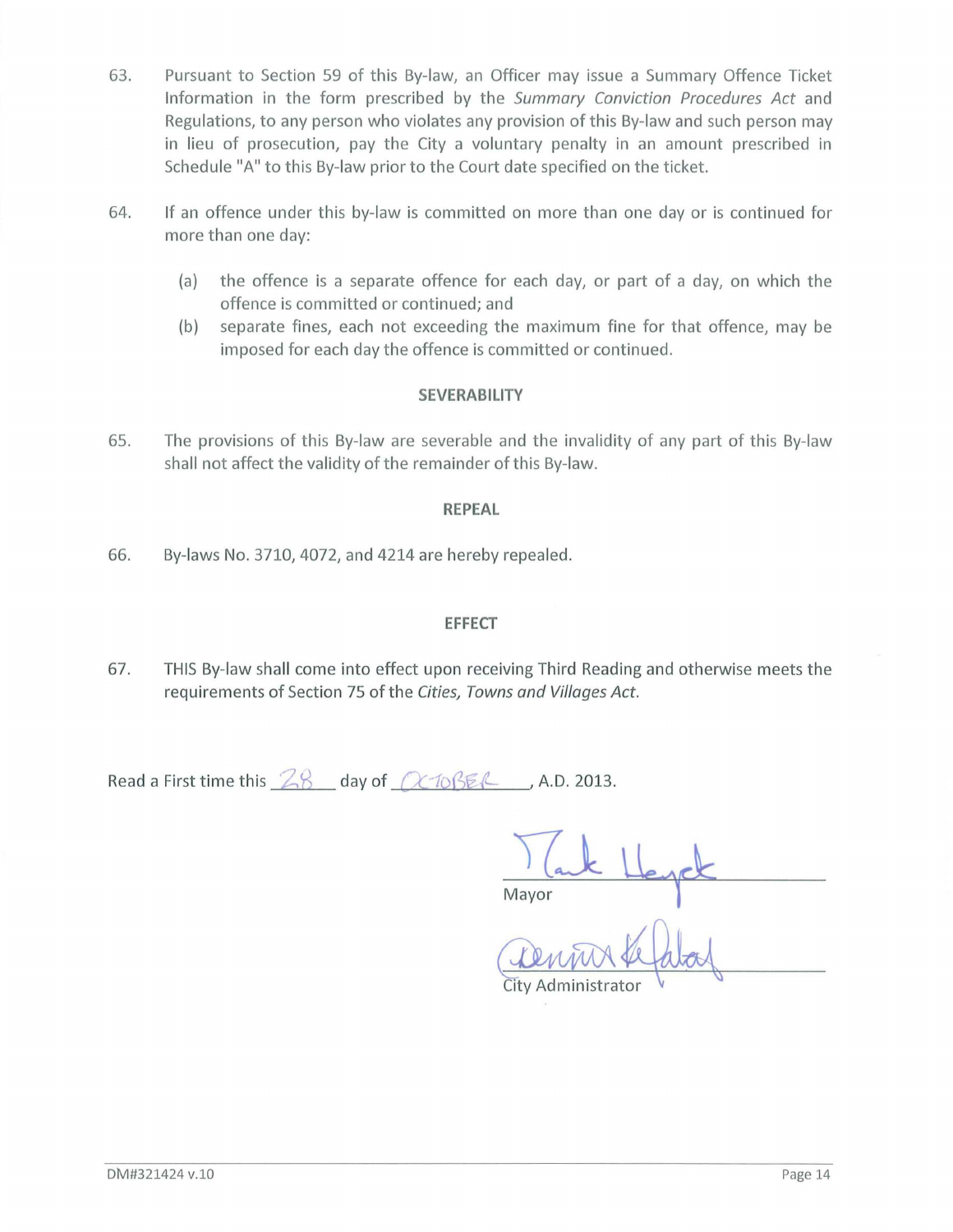- 63. Pursuant to Section 59 of this By-law, an Officer may issue a Summary Offence Ticket Information in the form prescribed by the Summary Conviction Procedures Act and Regulations, to any person who violates any provision of this By-law and such person may in lieu of prosecution, pay the City a voluntary penalty in an amount prescribed in Schedule "A" to this By-law prior to the Court date specified on the ticket.
- 64. If an offence under this by-law is committed on more than one day or is continued for more than one day:
	- (a) the offence is a separate offence for each day, or part of a day, on which the offence is committed or continued; and
	- (b) separate fines, each not exceeding the maximum fine for that offence, may be imposed for each day the offence is committed or continued.

## **SEVERABILITY**

65. The provisions of this By-law are severable and the invalidity of any part of this By-law shall not affect the validity of the remainder of this By-law.

#### **REPEAL**

66. By-laws No. 3710, 4072, and 4214 are hereby repealed.

## **EFFECT**

67. THIS By-law shall come into effect upon receiving Third Reading and otherwise meets the requirements of Section 75 of the Cities, Towns and Villages Act.

Read a First time this  $28$  day of  $(2/10)\frac{E}{E}$ , A.D. 2013.

Mayor Hey

~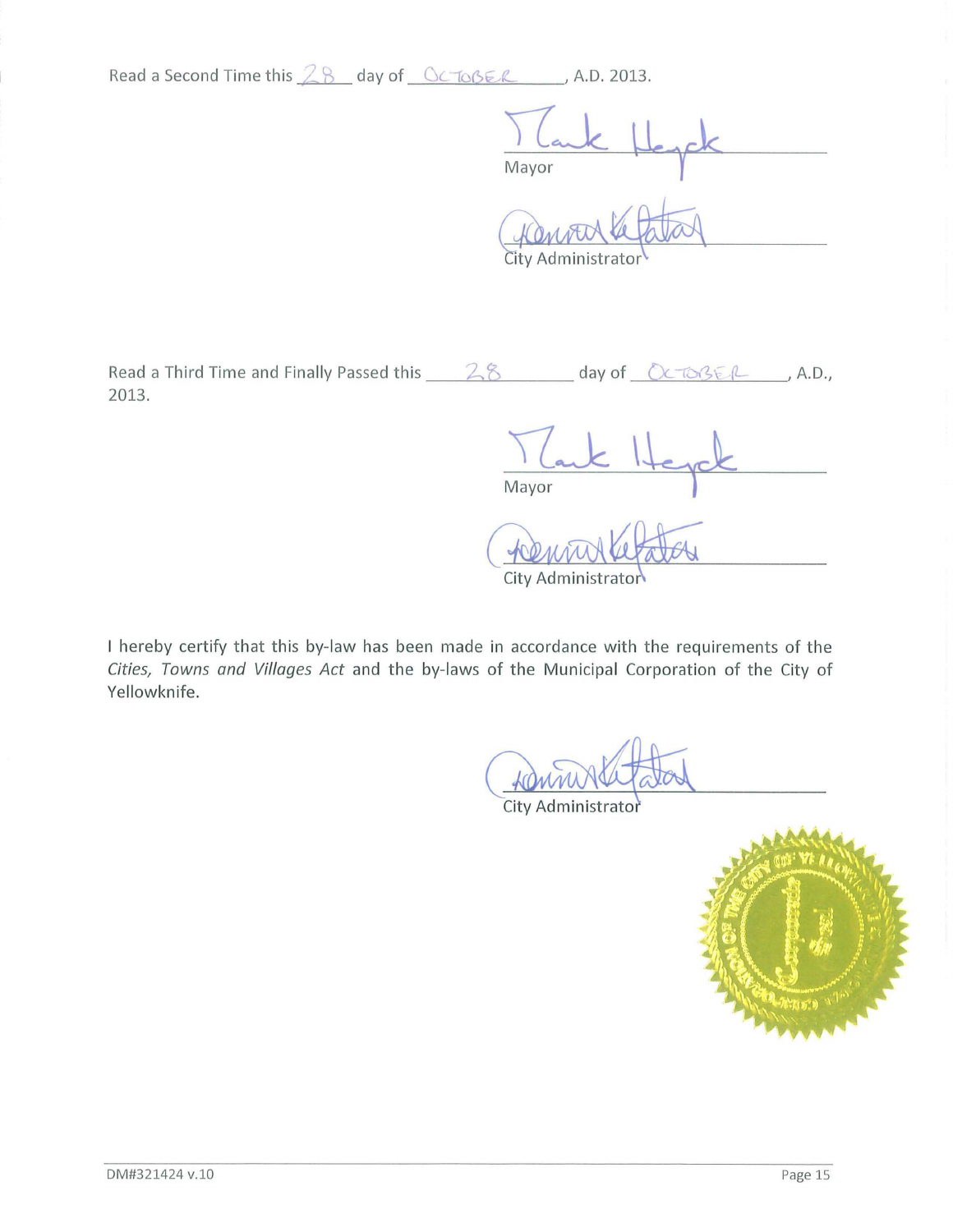Read a Second Time this 28 day of <u>Gc Toße R</u> A.D. 2013.

Mayor

City Administrato

Read a Third Time and Finally Passed this \_\_\_\_\_ 2.8 \_\_\_\_\_\_\_ day of \_\_\_ Octo3E/L \_\_\_\_, A.D., 2013.

Mayor

City Administrator

I hereby certify that this by-law has been made in accordance with the requirements of the Cities, Towns and Villages Act and the by-laws of the Municipal Corporation of the City of Yellowknife.

 $rac{1}{\sqrt{1-\frac{1}{\sqrt{1-\frac{1}{\sqrt{1-\frac{1}{\sqrt{1-\frac{1}{\sqrt{1-\frac{1}{\sqrt{1-\frac{1}{\sqrt{1-\frac{1}{\sqrt{1-\frac{1}{\sqrt{1-\frac{1}{\sqrt{1-\frac{1}{\sqrt{1-\frac{1}{\sqrt{1-\frac{1}{\sqrt{1-\frac{1}{\sqrt{1-\frac{1}{\sqrt{1-\frac{1}{\sqrt{1-\frac{1}{\sqrt{1-\frac{1}{\sqrt{1-\frac{1}{\sqrt{1-\frac{1}{\sqrt{1-\frac{1}{\sqrt{1-\frac{1}{\sqrt{1-\frac{1}{\sqrt{1-\frac{1}{\sqrt{1-\frac{1}{$